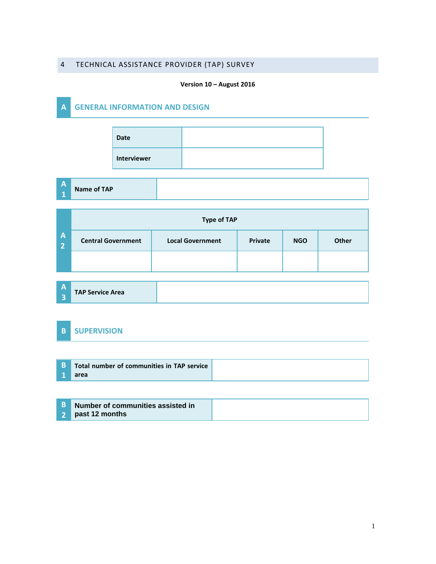### 4 TECHNICAL ASSISTANCE PROVIDER (TAP) SURVEY

#### **Version 10 – August 2016**

## **A GENERAL INFORMATION AND DESIGN**

| <b>Date</b> |  |
|-------------|--|
| Interviewer |  |

**A 1**

# **Name of TAP**

|                                | <b>Type of TAP</b>        |                         |         |            |       |  |  |  |
|--------------------------------|---------------------------|-------------------------|---------|------------|-------|--|--|--|
| $\mathsf{A}$<br>$\overline{2}$ | <b>Central Government</b> | <b>Local Government</b> | Private | <b>NGO</b> | Other |  |  |  |
|                                |                           |                         |         |            |       |  |  |  |

**A 3 TAP Service Area** 

### **B SUPERVISION**

| <b>B</b> Total number of communities in TAP service |  |
|-----------------------------------------------------|--|
| area                                                |  |

| <b>B</b> Number of communities assisted in |  |
|--------------------------------------------|--|
| 2 past 12 months                           |  |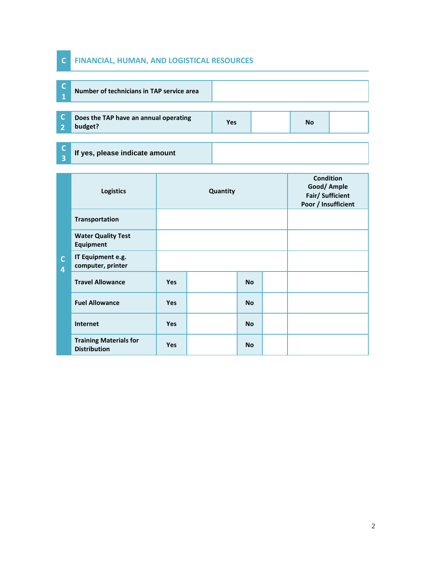### **C FINANCIAL, HUMAN, AND LOGISTICAL RESOURCES**

**3**

|    | Number of technicians in TAP service area        |     |    |  |
|----|--------------------------------------------------|-----|----|--|
|    | Does the TAP have an annual operating<br>budget? | Yes | No |  |
|    |                                                  |     |    |  |
| E. | If yes, please indicate amount                   |     |    |  |

|                                         | <b>Logistics</b>                                     | Quantity   |  |           |  | <b>Condition</b><br>Good/ Ample<br>Fair/ Sufficient<br>Poor / Insufficient |
|-----------------------------------------|------------------------------------------------------|------------|--|-----------|--|----------------------------------------------------------------------------|
|                                         | <b>Transportation</b>                                |            |  |           |  |                                                                            |
|                                         | <b>Water Quality Test</b><br><b>Equipment</b>        |            |  |           |  |                                                                            |
| $\mathsf{C}$<br>$\overline{\mathbf{4}}$ | IT Equipment e.g.<br>computer, printer               |            |  |           |  |                                                                            |
|                                         | <b>Travel Allowance</b>                              | <b>Yes</b> |  | <b>No</b> |  |                                                                            |
|                                         | <b>Fuel Allowance</b>                                | <b>Yes</b> |  | <b>No</b> |  |                                                                            |
|                                         | Internet                                             | <b>Yes</b> |  | <b>No</b> |  |                                                                            |
|                                         | <b>Training Materials for</b><br><b>Distribution</b> | <b>Yes</b> |  | <b>No</b> |  |                                                                            |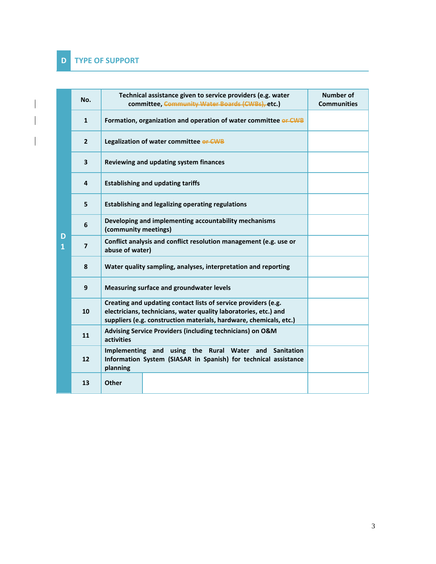$\overline{\phantom{a}}$ 

|         | No.            | Technical assistance given to service providers (e.g. water<br>committee, Community Water Boards (CWBs), etc.)                                                                                           | <b>Number of</b><br><b>Communities</b> |
|---------|----------------|----------------------------------------------------------------------------------------------------------------------------------------------------------------------------------------------------------|----------------------------------------|
|         | $\mathbf{1}$   | Formation, organization and operation of water committee or CWB                                                                                                                                          |                                        |
|         | $\mathbf{2}$   | Legalization of water committee or CWB                                                                                                                                                                   |                                        |
|         | 3              | Reviewing and updating system finances                                                                                                                                                                   |                                        |
|         | 4              | <b>Establishing and updating tariffs</b>                                                                                                                                                                 |                                        |
|         | 5              | <b>Establishing and legalizing operating regulations</b>                                                                                                                                                 |                                        |
|         | 6              | Developing and implementing accountability mechanisms<br>(community meetings)                                                                                                                            |                                        |
| D<br>1. | $\overline{ }$ | Conflict analysis and conflict resolution management (e.g. use or<br>abuse of water)                                                                                                                     |                                        |
|         | 8              | Water quality sampling, analyses, interpretation and reporting                                                                                                                                           |                                        |
|         | 9              | Measuring surface and groundwater levels                                                                                                                                                                 |                                        |
|         | 10             | Creating and updating contact lists of service providers (e.g.<br>electricians, technicians, water quality laboratories, etc.) and<br>suppliers (e.g. construction materials, hardware, chemicals, etc.) |                                        |
|         | 11             | Advising Service Providers (including technicians) on O&M<br>activities                                                                                                                                  |                                        |
|         | 12             | Implementing and using the Rural Water and<br><b>Sanitation</b><br>Information System (SIASAR in Spanish) for technical assistance<br>planning                                                           |                                        |
|         | 13             | <b>Other</b>                                                                                                                                                                                             |                                        |